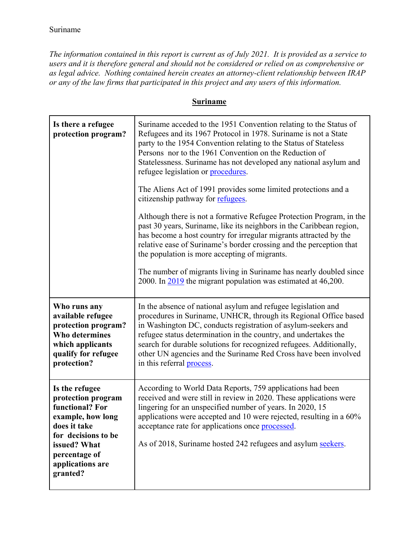*The information contained in this report is current as of July 2021. It is provided as a service to users and it is therefore general and should not be considered or relied on as comprehensive or as legal advice. Nothing contained herein creates an attorney-client relationship between IRAP or any of the law firms that participated in this project and any users of this information.* 

## **Suriname**

| Is there a refugee<br>protection program?                                                                                                                                            | Suriname acceded to the 1951 Convention relating to the Status of<br>Refugees and its 1967 Protocol in 1978. Suriname is not a State<br>party to the 1954 Convention relating to the Status of Stateless<br>Persons nor to the 1961 Convention on the Reduction of<br>Statelessness. Suriname has not developed any national asylum and<br>refugee legislation or procedures.<br>The Aliens Act of 1991 provides some limited protections and a<br>citizenship pathway for refugees.<br>Although there is not a formative Refugee Protection Program, in the<br>past 30 years, Suriname, like its neighbors in the Caribbean region,<br>has become a host country for irregular migrants attracted by the<br>relative ease of Suriname's border crossing and the perception that<br>the population is more accepting of migrants. |
|--------------------------------------------------------------------------------------------------------------------------------------------------------------------------------------|-----------------------------------------------------------------------------------------------------------------------------------------------------------------------------------------------------------------------------------------------------------------------------------------------------------------------------------------------------------------------------------------------------------------------------------------------------------------------------------------------------------------------------------------------------------------------------------------------------------------------------------------------------------------------------------------------------------------------------------------------------------------------------------------------------------------------------------|
|                                                                                                                                                                                      | The number of migrants living in Suriname has nearly doubled since<br>2000. In 2019 the migrant population was estimated at 46,200.                                                                                                                                                                                                                                                                                                                                                                                                                                                                                                                                                                                                                                                                                               |
| Who runs any<br>available refugee<br>protection program?<br><b>Who determines</b><br>which applicants<br>qualify for refugee<br>protection?                                          | In the absence of national asylum and refugee legislation and<br>procedures in Suriname, UNHCR, through its Regional Office based<br>in Washington DC, conducts registration of asylum-seekers and<br>refugee status determination in the country, and undertakes the<br>search for durable solutions for recognized refugees. Additionally,<br>other UN agencies and the Suriname Red Cross have been involved<br>in this referral process.                                                                                                                                                                                                                                                                                                                                                                                      |
| Is the refugee<br>protection program<br>functional? For<br>example, how long<br>does it take<br>for decisions to be<br>issued? What<br>percentage of<br>applications are<br>granted? | According to World Data Reports, 759 applications had been<br>received and were still in review in 2020. These applications were<br>lingering for an unspecified number of years. In 2020, 15<br>applications were accepted and 10 were rejected, resulting in a 60%<br>acceptance rate for applications once processed.<br>As of 2018, Suriname hosted 242 refugees and asylum seekers.                                                                                                                                                                                                                                                                                                                                                                                                                                          |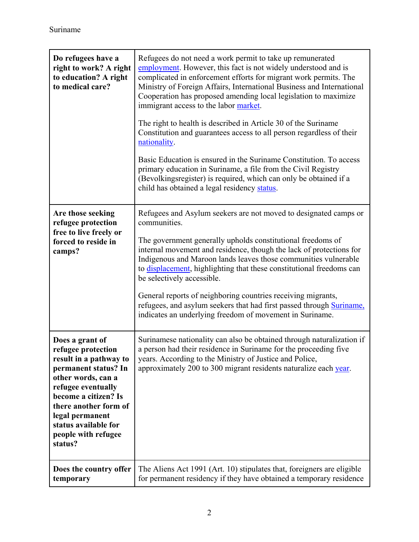| Do refugees have a<br>right to work? A right<br>to education? A right<br>to medical care?                                                                                                                                                                         | Refugees do not need a work permit to take up remunerated<br>employment. However, this fact is not widely understood and is<br>complicated in enforcement efforts for migrant work permits. The<br>Ministry of Foreign Affairs, International Business and International<br>Cooperation has proposed amending local legislation to maximize<br>immigrant access to the labor market.<br>The right to health is described in Article 30 of the Suriname<br>Constitution and guarantees access to all person regardless of their<br>nationality.<br>Basic Education is ensured in the Suriname Constitution. To access<br>primary education in Suriname, a file from the Civil Registry<br>(Bevolkingsregister) is required, which can only be obtained if a<br>child has obtained a legal residency status. |
|-------------------------------------------------------------------------------------------------------------------------------------------------------------------------------------------------------------------------------------------------------------------|------------------------------------------------------------------------------------------------------------------------------------------------------------------------------------------------------------------------------------------------------------------------------------------------------------------------------------------------------------------------------------------------------------------------------------------------------------------------------------------------------------------------------------------------------------------------------------------------------------------------------------------------------------------------------------------------------------------------------------------------------------------------------------------------------------|
| Are those seeking<br>refugee protection<br>free to live freely or<br>forced to reside in<br>camps?                                                                                                                                                                | Refugees and Asylum seekers are not moved to designated camps or<br>communities.<br>The government generally upholds constitutional freedoms of<br>internal movement and residence, though the lack of protections for<br>Indigenous and Maroon lands leaves those communities vulnerable<br>to displacement, highlighting that these constitutional freedoms can<br>be selectively accessible.<br>General reports of neighboring countries receiving migrants,<br>refugees, and asylum seekers that had first passed through Suriname,<br>indicates an underlying freedom of movement in Suriname.                                                                                                                                                                                                        |
| Does a grant of<br>refugee protection<br>result in a pathway to<br>permanent status? In<br>other words, can a<br>refugee eventually<br>become a citizen? Is<br>there another form of<br>legal permanent<br>status available for<br>people with refugee<br>status? | Surinamese nationality can also be obtained through naturalization if<br>a person had their residence in Suriname for the proceeding five<br>years. According to the Ministry of Justice and Police,<br>approximately 200 to 300 migrant residents naturalize each year.                                                                                                                                                                                                                                                                                                                                                                                                                                                                                                                                   |
| Does the country offer<br>temporary                                                                                                                                                                                                                               | The Aliens Act 1991 (Art. 10) stipulates that, foreigners are eligible<br>for permanent residency if they have obtained a temporary residence                                                                                                                                                                                                                                                                                                                                                                                                                                                                                                                                                                                                                                                              |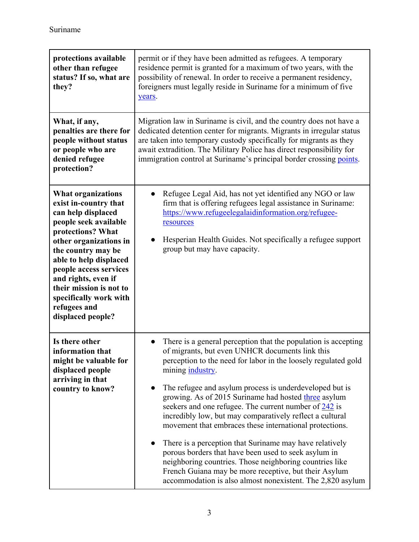| protections available<br>other than refugee<br>status? If so, what are<br>they?                                                                                                                                                                                                                                                             | permit or if they have been admitted as refugees. A temporary<br>residence permit is granted for a maximum of two years, with the<br>possibility of renewal. In order to receive a permanent residency,<br>foreigners must legally reside in Suriname for a minimum of five<br>years.                                                                                                                                                                                                                                                                                                                                                                                                                                                                                                                                                       |
|---------------------------------------------------------------------------------------------------------------------------------------------------------------------------------------------------------------------------------------------------------------------------------------------------------------------------------------------|---------------------------------------------------------------------------------------------------------------------------------------------------------------------------------------------------------------------------------------------------------------------------------------------------------------------------------------------------------------------------------------------------------------------------------------------------------------------------------------------------------------------------------------------------------------------------------------------------------------------------------------------------------------------------------------------------------------------------------------------------------------------------------------------------------------------------------------------|
| What, if any,<br>penalties are there for<br>people without status<br>or people who are<br>denied refugee<br>protection?                                                                                                                                                                                                                     | Migration law in Suriname is civil, and the country does not have a<br>dedicated detention center for migrants. Migrants in irregular status<br>are taken into temporary custody specifically for migrants as they<br>await extradition. The Military Police has direct responsibility for<br>immigration control at Suriname's principal border crossing points.                                                                                                                                                                                                                                                                                                                                                                                                                                                                           |
| <b>What organizations</b><br>exist in-country that<br>can help displaced<br>people seek available<br>protections? What<br>other organizations in<br>the country may be<br>able to help displaced<br>people access services<br>and rights, even if<br>their mission is not to<br>specifically work with<br>refugees and<br>displaced people? | Refugee Legal Aid, has not yet identified any NGO or law<br>firm that is offering refugees legal assistance in Suriname:<br>https://www.refugeelegalaidinformation.org/refugee-<br>resources<br>Hesperian Health Guides. Not specifically a refugee support<br>group but may have capacity.                                                                                                                                                                                                                                                                                                                                                                                                                                                                                                                                                 |
| Is there other<br>information that<br>might be valuable for<br>displaced people<br>arriving in that<br>country to know?                                                                                                                                                                                                                     | There is a general perception that the population is accepting<br>$\bullet$<br>of migrants, but even UNHCR documents link this<br>perception to the need for labor in the loosely regulated gold<br>mining industry.<br>The refugee and asylum process is underdeveloped but is<br>growing. As of 2015 Suriname had hosted three asylum<br>seekers and one refugee. The current number of $242$ is<br>incredibly low, but may comparatively reflect a cultural<br>movement that embraces these international protections.<br>There is a perception that Suriname may have relatively<br>$\bullet$<br>porous borders that have been used to seek asylum in<br>neighboring countries. Those neighboring countries like<br>French Guiana may be more receptive, but their Asylum<br>accommodation is also almost nonexistent. The 2,820 asylum |